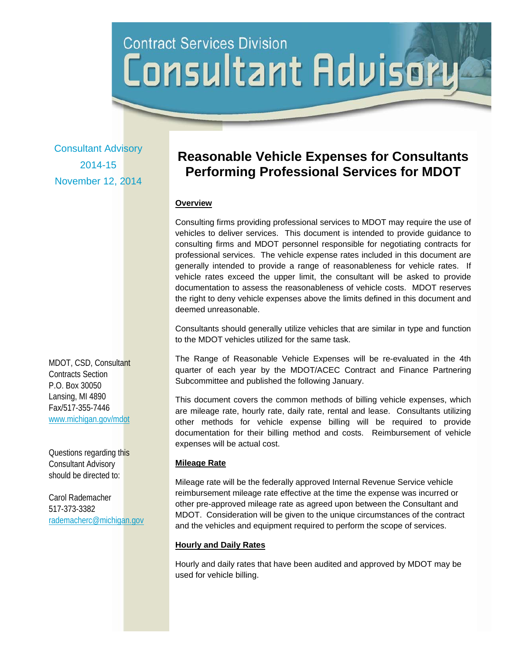# **Contract Services Division** Consultant Advisor

Consultant Advisory 2014-15 November 12, 2014

MDOT, CSD, Consultant Contracts Section P.O. Box 30050 Lansing, MI 4890 Fax/517-355-7446 www.michigan.gov/mdot

Questions regarding this Consultant Advisory should be directed to:

Carol Rademacher 517-373-3382 rademacherc@michigan.gov

# **Reasonable Vehicle Expenses for Consultants Performing Professional Services for MDOT**

### **Overview**

Consulting firms providing professional services to MDOT may require the use of vehicles to deliver services. This document is intended to provide guidance to consulting firms and MDOT personnel responsible for negotiating contracts for professional services. The vehicle expense rates included in this document are generally intended to provide a range of reasonableness for vehicle rates. If vehicle rates exceed the upper limit, the consultant will be asked to provide documentation to assess the reasonableness of vehicle costs. MDOT reserves the right to deny vehicle expenses above the limits defined in this document and deemed unreasonable.

Consultants should generally utilize vehicles that are similar in type and function to the MDOT vehicles utilized for the same task.

The Range of Reasonable Vehicle Expenses will be re-evaluated in the 4th quarter of each year by the MDOT/ACEC Contract and Finance Partnering Subcommittee and published the following January.

This document covers the common methods of billing vehicle expenses, which are mileage rate, hourly rate, daily rate, rental and lease. Consultants utilizing other methods for vehicle expense billing will be required to provide documentation for their billing method and costs. Reimbursement of vehicle expenses will be actual cost.

# **Mileage Rate**

Mileage rate will be the federally approved Internal Revenue Service vehicle reimbursement mileage rate effective at the time the expense was incurred or other pre-approved mileage rate as agreed upon between the Consultant and MDOT. Consideration will be given to the unique circumstances of the contract and the vehicles and equipment required to perform the scope of services.

#### **Hourly and Daily Rates**

Hourly and daily rates that have been audited and approved by MDOT may be used for vehicle billing.